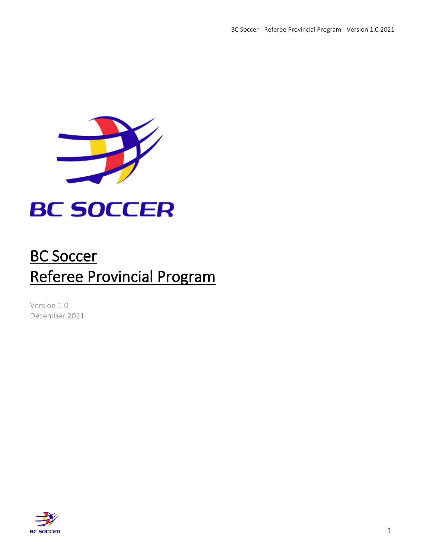

# **BC SOCCER**

## BC Soccer Referee Provincial Program

Version 1.0 December 2021

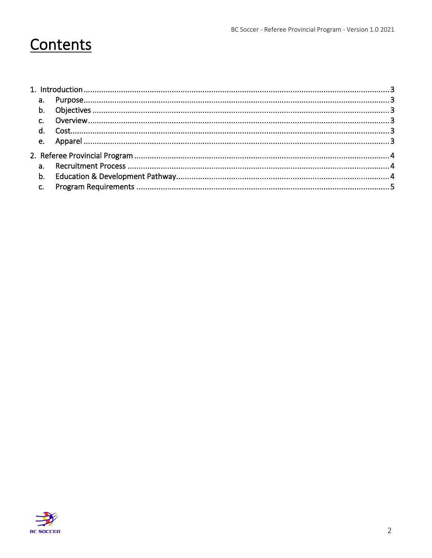## Contents

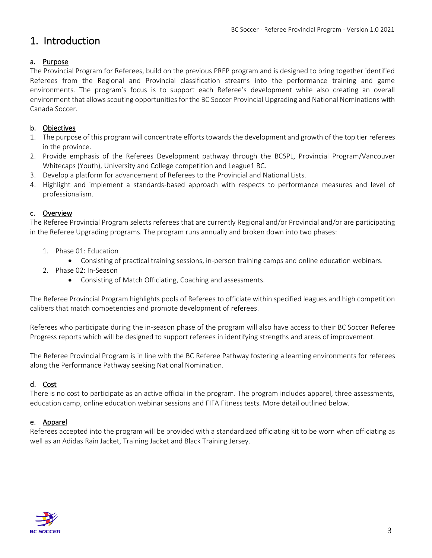### <span id="page-2-0"></span>1. Introduction

#### <span id="page-2-1"></span>a. Purpose

The Provincial Program for Referees, build on the previous PREP program and is designed to bring together identified Referees from the Regional and Provincial classification streams into the performance training and game environments. The program's focus is to support each Referee's development while also creating an overall environment that allows scouting opportunities for the BC Soccer Provincial Upgrading and National Nominations with Canada Soccer.

#### <span id="page-2-2"></span>b. Objectives

- 1. The purpose of this program will concentrate efforts towards the development and growth of the top tier referees in the province.
- 2. Provide emphasis of the Referees Development pathway through the BCSPL, Provincial Program/Vancouver Whitecaps (Youth), University and College competition and League1 BC.
- 3. Develop a platform for advancement of Referees to the Provincial and National Lists.
- 4. Highlight and implement a standards-based approach with respects to performance measures and level of professionalism.

#### <span id="page-2-3"></span>c. Overview

The Referee Provincial Program selects referees that are currently Regional and/or Provincial and/or are participating in the Referee Upgrading programs. The program runs annually and broken down into two phases:

- 1. Phase 01: Education
	- Consisting of practical training sessions, in-person training camps and online education webinars.
- 2. Phase 02: In-Season
	- Consisting of Match Officiating, Coaching and assessments.

The Referee Provincial Program highlights pools of Referees to officiate within specified leagues and high competition calibers that match competencies and promote development of referees.

Referees who participate during the in-season phase of the program will also have access to their BC Soccer Referee Progress reports which will be designed to support referees in identifying strengths and areas of improvement.

The Referee Provincial Program is in line with the BC Referee Pathway fostering a learning environments for referees along the Performance Pathway seeking National Nomination.

#### <span id="page-2-4"></span>d. Cost

There is no cost to participate as an active official in the program. The program includes apparel, three assessments, education camp, online education webinar sessions and FIFA Fitness tests. More detail outlined below.

#### <span id="page-2-5"></span>e. Apparel

Referees accepted into the program will be provided with a standardized officiating kit to be worn when officiating as well as an Adidas Rain Jacket, Training Jacket and Black Training Jersey.

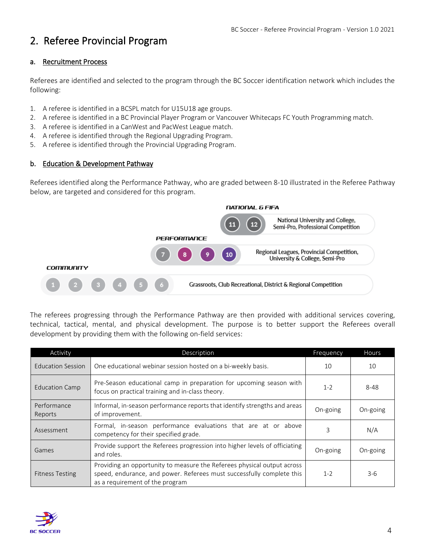### <span id="page-3-0"></span>2. Referee Provincial Program

#### <span id="page-3-1"></span>a. Recruitment Process

Referees are identified and selected to the program through the BC Soccer identification network which includes the following:

- 1. A referee is identified in a BCSPL match for U15U18 age groups.
- 2. A referee is identified in a BC Provincial Player Program or Vancouver Whitecaps FC Youth Programming match.
- 3. A referee is identified in a CanWest and PacWest League match.
- 4. A referee is identified through the Regional Upgrading Program.
- 5. A referee is identified through the Provincial Upgrading Program.

#### <span id="page-3-2"></span>b. Education & Development Pathway

Referees identified along the Performance Pathway, who are graded between 8-10 illustrated in the Referee Pathway below, are targeted and considered for this program.



The referees progressing through the Performance Pathway are then provided with additional services covering, technical, tactical, mental, and physical development. The purpose is to better support the Referees overall development by providing them with the following on-field services:

| Activity                 | Description                                                                                                                                                                         | Frequency | Hours    |
|--------------------------|-------------------------------------------------------------------------------------------------------------------------------------------------------------------------------------|-----------|----------|
| <b>Education Session</b> | One educational webinar session hosted on a bi-weekly basis.                                                                                                                        | 10        | 10       |
| <b>Education Camp</b>    | Pre-Season educational camp in preparation for upcoming season with<br>focus on practical training and in-class theory.                                                             | $1 - 2$   | $8 - 48$ |
| Performance<br>Reports   | Informal, in-season performance reports that identify strengths and areas<br>of improvement.                                                                                        | On-going  | On-going |
| Assessment               | Formal, in-season performance evaluations that are at or above<br>competency for their specified grade.                                                                             | 3         | N/A      |
| Games                    | Provide support the Referees progression into higher levels of officiating<br>and roles.                                                                                            | On-going  | On-going |
| <b>Fitness Testing</b>   | Providing an opportunity to measure the Referees physical output across<br>speed, endurance, and power. Referees must successfully complete this<br>as a requirement of the program | $1 - 2$   | $3-6$    |